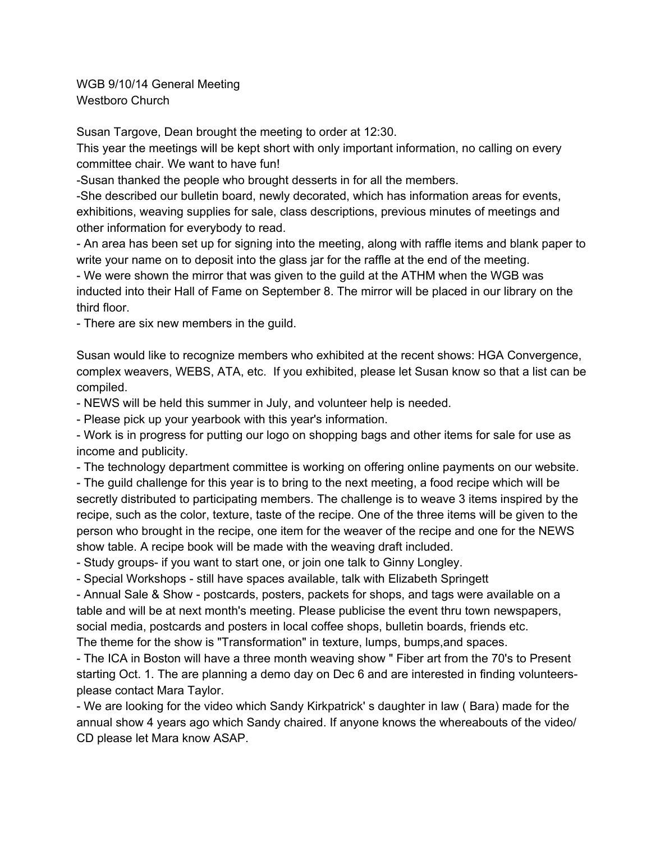WGB 9/10/14 General Meeting Westboro Church

Susan Targove, Dean brought the meeting to order at 12:30.

This year the meetings will be kept short with only important information, no calling on every committee chair. We want to have fun!

Susan thanked the people who brought desserts in for all the members.

She described our bulletin board, newly decorated, which has information areas for events, exhibitions, weaving supplies for sale, class descriptions, previous minutes of meetings and other information for everybody to read.

 An area has been set up for signing into the meeting, along with raffle items and blank paper to write your name on to deposit into the glass jar for the raffle at the end of the meeting.

 We were shown the mirror that was given to the guild at the ATHM when the WGB was inducted into their Hall of Fame on September 8. The mirror will be placed in our library on the third floor.

There are six new members in the guild.

Susan would like to recognize members who exhibited at the recent shows: HGA Convergence, complex weavers, WEBS, ATA, etc. If you exhibited, please let Susan know so that a list can be compiled.

NEWS will be held this summer in July, and volunteer help is needed.

Please pick up your yearbook with this year's information.

 Work is in progress for putting our logo on shopping bags and other items for sale for use as income and publicity.

The technology department committee is working on offering online payments on our website.

 The guild challenge for this year is to bring to the next meeting, a food recipe which will be secretly distributed to participating members. The challenge is to weave 3 items inspired by the recipe, such as the color, texture, taste of the recipe. One of the three items will be given to the person who brought in the recipe, one item for the weaver of the recipe and one for the NEWS show table. A recipe book will be made with the weaving draft included.

- Study groups- if you want to start one, or join one talk to Ginny Longley.

- Special Workshops - still have spaces available, talk with Elizabeth Springett

- Annual Sale & Show - postcards, posters, packets for shops, and tags were available on a table and will be at next month's meeting. Please publicise the event thru town newspapers, social media, postcards and posters in local coffee shops, bulletin boards, friends etc.

The theme for the show is "Transformation" in texture, lumps, bumps,and spaces.

 The ICA in Boston will have a three month weaving show " Fiber art from the 70's to Present starting Oct. 1. The are planning a demo day on Dec 6 and are interested in finding volunteersplease contact Mara Taylor.

 We are looking for the video which Sandy Kirkpatrick' s daughter in law ( Bara) made for the annual show 4 years ago which Sandy chaired. If anyone knows the whereabouts of the video/ CD please let Mara know ASAP.